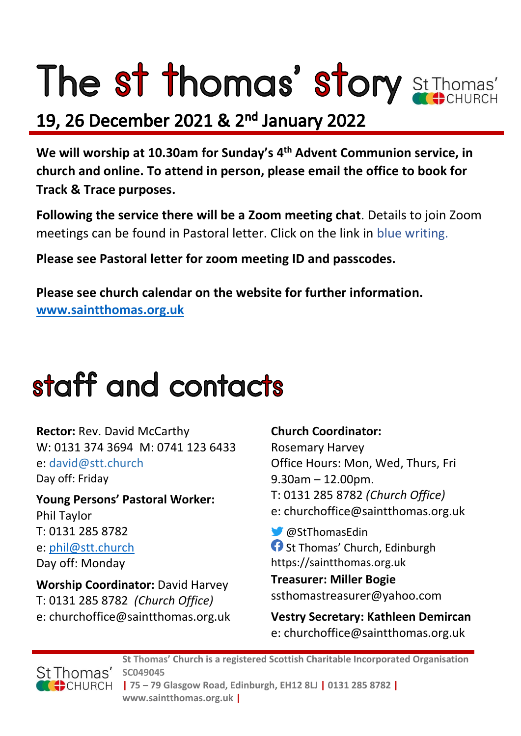# The st thomas' story St Thomas'

## 19, 26 December 2021 & 2<sup>nd</sup> January 2022

**We will worship at 10.30am for Sunday's 4th Advent Communion service, in church and online. To attend in person, please email the office to book for Track & Trace purposes.**

**Following the service there will be a Zoom meeting chat**. Details to join Zoom meetings can be found in Pastoral letter. Click on the link in blue writing.

**Please see Pastoral letter for zoom meeting ID and passcodes.**

**Please see church calendar on the website for further information. [www.saintthomas.org.uk](http://www.saintthomas.org.uk/)**

# staff and contacts

**Rector:** Rev. David McCarthy W: 0131 374 3694 M: 0741 123 6433 e: david@stt.church Day off: Friday

**Young Persons' Pastoral Worker:** Phil Taylor T: 0131 285 8782 e: [phil@stt.church](mailto:phil@stt.church) Day off: Monday

**Worship Coordinator:** David Harvey T: 0131 285 8782 *(Church Office)* e: churchoffice@saintthomas.org.uk

#### **Church Coordinator:**

Rosemary Harvey Office Hours: Mon, Wed, Thurs, Fri 9.30am – 12.00pm. T: 0131 285 8782 *(Church Office)* e: churchoffice@saintthomas.org.uk

@StThomasEdin **f** St Thomas' Church, Edinburgh https://saintthomas.org.uk

**Treasurer: Miller Bogie** ssthomastreasurer@yahoo.com

**Vestry Secretary: Kathleen Demircan**  e: churchoffice@saintthomas.org.uk



**St Thomas' Church is a registered Scottish Charitable Incorporated Organisation SC049045 | 75 – 79 Glasgow Road, Edinburgh, EH12 8LJ | 0131 285 8782 | www.saintthomas.org.uk |**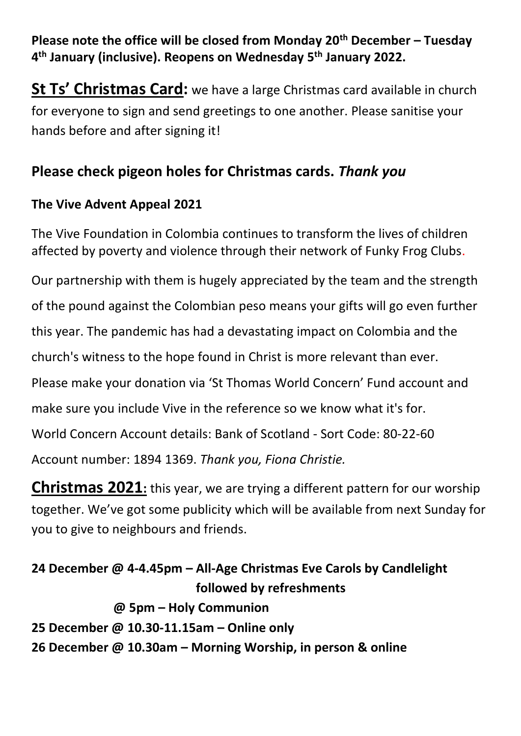**Please note the office will be closed from Monday 20th December – Tuesday 4 th January (inclusive). Reopens on Wednesday 5th January 2022.**

**St Ts' Christmas Card:** we have a large Christmas card available in church for everyone to sign and send greetings to one another. Please sanitise your hands before and after signing it!

### **Please check pigeon holes for Christmas cards.** *Thank you*

#### **The Vive Advent Appeal 2021**

The Vive Foundation in Colombia continues to transform the lives of children affected by poverty and violence through their network of Funky Frog Clubs.

Our partnership with them is hugely appreciated by the team and the strength of the pound against the Colombian peso means your gifts will go even further this year. The pandemic has had a devastating impact on Colombia and the church's witness to the hope found in Christ is more relevant than ever. Please make your donation via 'St Thomas World Concern' Fund account and make sure you include Vive in the reference so we know what it's for. World Concern Account details: Bank of Scotland - Sort Code: 80-22-60 Account number: 1894 1369. *Thank you, Fiona Christie.*

**Christmas 2021:** this year, we are trying a different pattern for our worship together. We've got some publicity which will be available from next Sunday for you to give to neighbours and friends.

| 24 December @ 4-4.45pm – All-Age Christmas Eve Carols by Candlelight |
|----------------------------------------------------------------------|
| followed by refreshments                                             |
| @ 5pm – Holy Communion                                               |
| 25 December @ 10.30-11.15am – Online only                            |
| 26 December @ 10.30am – Morning Worship, in person & online          |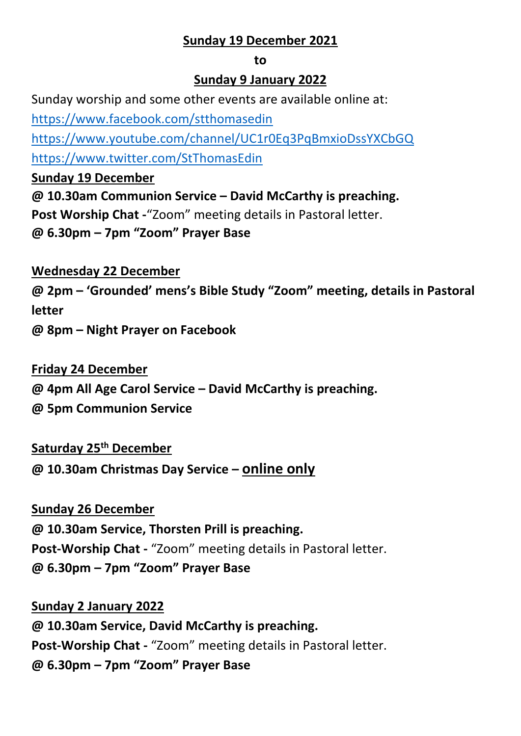#### **Sunday 19 December 2021**

#### **to**

#### **Sunday 9 January 2022**

Sunday worship and some other events are available online at:

<https://www.facebook.com/stthomasedin>

<https://www.youtube.com/channel/UC1r0Eq3PqBmxioDssYXCbGQ> <https://www.twitter.com/StThomasEdin>

**Sunday 19 December**

**@ 10.30am Communion Service – David McCarthy is preaching.**

**Post Worship Chat -**"Zoom" meeting details in Pastoral letter.

**@ 6.30pm – 7pm "Zoom" Prayer Base**

**Wednesday 22 December**

**@ 2pm – 'Grounded' mens's Bible Study "Zoom" meeting, details in Pastoral letter**

**@ 8pm – Night Prayer on Facebook** 

**Friday 24 December**

**@ 4pm All Age Carol Service – David McCarthy is preaching.**

**@ 5pm Communion Service**

#### **Saturday 25th December**

**@ 10.30am Christmas Day Service – online only**

#### **Sunday 26 December**

**@ 10.30am Service, Thorsten Prill is preaching. Post-Worship Chat -** "Zoom" meeting details in Pastoral letter. **@ 6.30pm – 7pm "Zoom" Prayer Base**

#### **Sunday 2 January 2022**

**@ 10.30am Service, David McCarthy is preaching. Post-Worship Chat -** "Zoom" meeting details in Pastoral letter. **@ 6.30pm – 7pm "Zoom" Prayer Base**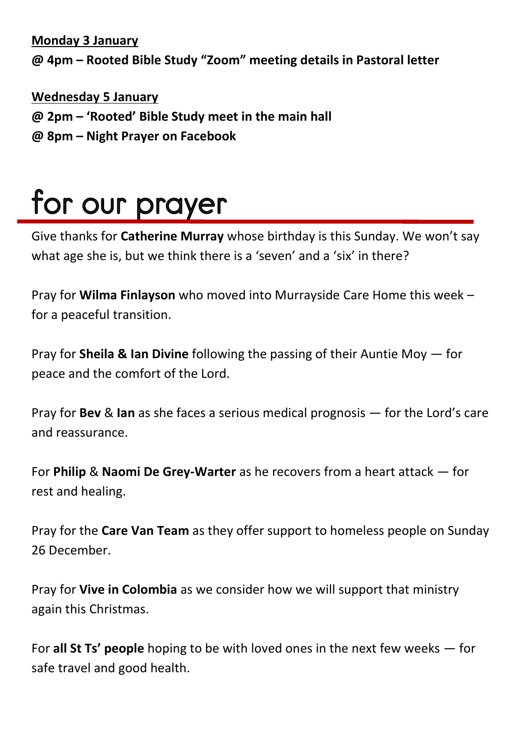**Monday 3 January**

**@ 4pm – Rooted Bible Study "Zoom" meeting details in Pastoral letter**

**Wednesday 5 January @ 2pm – 'Rooted' Bible Study meet in the main hall**

**@ 8pm – Night Prayer on Facebook** 

# for our prayer

Give thanks for **Catherine Murray** whose birthday is this Sunday. We won't say what age she is, but we think there is a 'seven' and a 'six' in there?

Pray for **Wilma Finlayson** who moved into Murrayside Care Home this week – for a peaceful transition.

Pray for **Sheila & Ian Divine** following the passing of their Auntie Moy — for peace and the comfort of the Lord.

Pray for **Bev** & **Ian** as she faces a serious medical prognosis — for the Lord's care and reassurance.

For **Philip** & **Naomi De Grey-Warter** as he recovers from a heart attack — for rest and healing.

Pray for the **Care Van Team** as they offer support to homeless people on Sunday 26 December.

Pray for **Vive in Colombia** as we consider how we will support that ministry again this Christmas.

For **all St Ts' people** hoping to be with loved ones in the next few weeks — for safe travel and good health.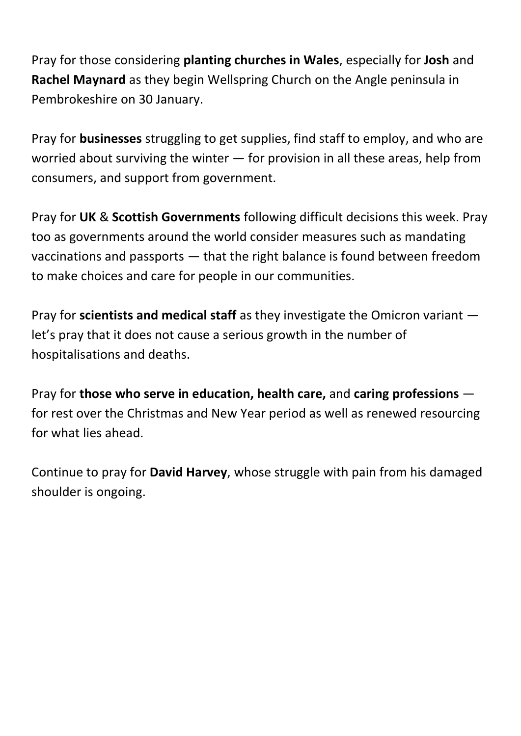Pray for those considering **planting churches in Wales**, especially for **Josh** and **Rachel Maynard** as they begin Wellspring Church on the Angle peninsula in Pembrokeshire on 30 January.

Pray for **businesses** struggling to get supplies, find staff to employ, and who are worried about surviving the winter — for provision in all these areas, help from consumers, and support from government.

Pray for **UK** & **Scottish Governments** following difficult decisions this week. Pray too as governments around the world consider measures such as mandating vaccinations and passports — that the right balance is found between freedom to make choices and care for people in our communities.

Pray for **scientists and medical staff** as they investigate the Omicron variant let's pray that it does not cause a serious growth in the number of hospitalisations and deaths.

Pray for **those who serve in education, health care,** and **caring professions** for rest over the Christmas and New Year period as well as renewed resourcing for what lies ahead.

Continue to pray for **David Harvey**, whose struggle with pain from his damaged shoulder is ongoing.